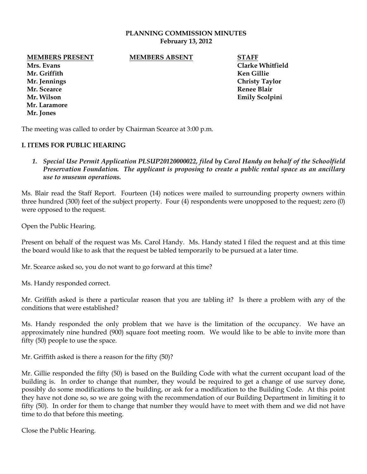### **PLANNING COMMISSION MINUTES February 13, 2012**

**MEMBERS PRESENT MEMBERS ABSENT STAFF Mrs. Evans Clarke Whitfield**

 **Mr. Laramore Mr. Jones**

**Mr. Griffith Ken Gillie**

**Mr. Jennings Christy Taylor Mr. Scearce Renee Blair Mr. Wilson Emily Scolpini** 

The meeting was called to order by Chairman Scearce at 3:00 p.m.

### **I. ITEMS FOR PUBLIC HEARING**

*1. Special Use Permit Application PLSUP20120000022, filed by Carol Handy on behalf of the Schoolfield Preservation Foundation. The applicant is proposing to create a public rental space as an ancillary use to museum operations.*

Ms. Blair read the Staff Report. Fourteen (14) notices were mailed to surrounding property owners within three hundred (300) feet of the subject property. Four (4) respondents were unopposed to the request; zero (0) were opposed to the request.

Open the Public Hearing.

Present on behalf of the request was Ms. Carol Handy. Ms. Handy stated I filed the request and at this time the board would like to ask that the request be tabled temporarily to be pursued at a later time.

Mr. Scearce asked so, you do not want to go forward at this time?

Ms. Handy responded correct.

Mr. Griffith asked is there a particular reason that you are tabling it? Is there a problem with any of the conditions that were established?

Ms. Handy responded the only problem that we have is the limitation of the occupancy. We have an approximately nine hundred (900) square foot meeting room. We would like to be able to invite more than fifty (50) people to use the space.

Mr. Griffith asked is there a reason for the fifty (50)?

Mr. Gillie responded the fifty (50) is based on the Building Code with what the current occupant load of the building is. In order to change that number, they would be required to get a change of use survey done, possibly do some modifications to the building, or ask for a modification to the Building Code. At this point they have not done so, so we are going with the recommendation of our Building Department in limiting it to fifty (50). In order for them to change that number they would have to meet with them and we did not have time to do that before this meeting.

Close the Public Hearing.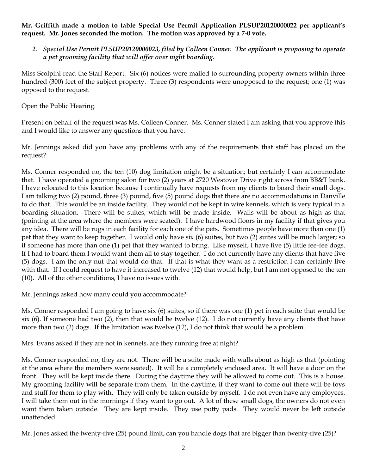## **Mr. Griffith made a motion to table Special Use Permit Application PLSUP20120000022 per applicant's request. Mr. Jones seconded the motion. The motion was approved by a 7-0 vote.**

*2. Special Use Permit PLSUP20120000023, filed by Colleen Conner. The applicant is proposing to operate a pet grooming facility that will offer over night boarding.*

Miss Scolpini read the Staff Report. Six (6) notices were mailed to surrounding property owners within three hundred (300) feet of the subject property. Three (3) respondents were unopposed to the request; one (1) was opposed to the request.

Open the Public Hearing.

Present on behalf of the request was Ms. Colleen Conner. Ms. Conner stated I am asking that you approve this and I would like to answer any questions that you have.

Mr. Jennings asked did you have any problems with any of the requirements that staff has placed on the request?

Ms. Conner responded no, the ten (10) dog limitation might be a situation; but certainly I can accommodate that. I have operated a grooming salon for two (2) years at 2720 Westover Drive right across from BB&T bank. I have relocated to this location because I continually have requests from my clients to board their small dogs. I am talking two (2) pound, three (3) pound, five (5) pound dogs that there are no accommodations in Danville to do that. This would be an inside facility. They would not be kept in wire kennels, which is very typical in a boarding situation. There will be suites, which will be made inside. Walls will be about as high as that (pointing at the area where the members were seated). I have hardwood floors in my facility if that gives you any idea. There will be rugs in each facility for each one of the pets. Sometimes people have more than one (1) pet that they want to keep together. I would only have six (6) suites, but two (2) suites will be much larger; so if someone has more than one (1) pet that they wanted to bring. Like myself, I have five (5) little fee-fee dogs. If I had to board them I would want them all to stay together. I do not currently have any clients that have five (5) dogs. I am the only nut that would do that. If that is what they want as a restriction I can certainly live with that. If I could request to have it increased to twelve (12) that would help, but I am not opposed to the ten (10). All of the other conditions, I have no issues with.

Mr. Jennings asked how many could you accommodate?

Ms. Conner responded I am going to have six (6) suites, so if there was one (1) pet in each suite that would be six (6). If someone had two (2), then that would be twelve (12). I do not currently have any clients that have more than two (2) dogs. If the limitation was twelve (12), I do not think that would be a problem.

Mrs. Evans asked if they are not in kennels, are they running free at night?

Ms. Conner responded no, they are not. There will be a suite made with walls about as high as that (pointing at the area where the members were seated). It will be a completely enclosed area. It will have a door on the front. They will be kept inside there. During the daytime they will be allowed to come out. This is a house. My grooming facility will be separate from them. In the daytime, if they want to come out there will be toys and stuff for them to play with. They will only be taken outside by myself. I do not even have any employees. I will take them out in the mornings if they want to go out. A lot of these small dogs, the owners do not even want them taken outside. They are kept inside. They use potty pads. They would never be left outside unattended.

Mr. Jones asked the twenty-five (25) pound limit, can you handle dogs that are bigger than twenty-five (25)?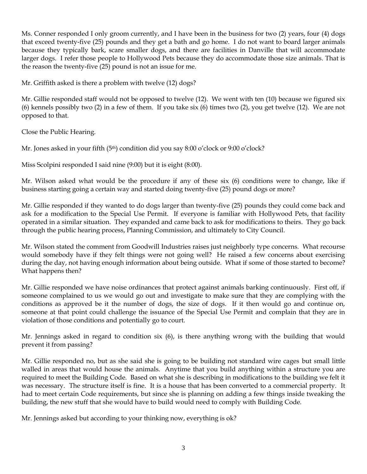Ms. Conner responded I only groom currently, and I have been in the business for two (2) years, four (4) dogs that exceed twenty-five (25) pounds and they get a bath and go home. I do not want to board larger animals because they typically bark, scare smaller dogs, and there are facilities in Danville that will accommodate larger dogs. I refer those people to Hollywood Pets because they do accommodate those size animals. That is the reason the twenty-five (25) pound is not an issue for me.

Mr. Griffith asked is there a problem with twelve (12) dogs?

Mr. Gillie responded staff would not be opposed to twelve (12). We went with ten (10) because we figured six (6) kennels possibly two (2) in a few of them. If you take six (6) times two (2), you get twelve (12). We are not opposed to that.

Close the Public Hearing.

Mr. Jones asked in your fifth  $(5<sup>th</sup>)$  condition did you say 8:00 o'clock or 9:00 o'clock?

Miss Scolpini responded I said nine (9:00) but it is eight (8:00).

Mr. Wilson asked what would be the procedure if any of these six (6) conditions were to change, like if business starting going a certain way and started doing twenty-five (25) pound dogs or more?

Mr. Gillie responded if they wanted to do dogs larger than twenty-five (25) pounds they could come back and ask for a modification to the Special Use Permit. If everyone is familiar with Hollywood Pets, that facility operated in a similar situation. They expanded and came back to ask for modifications to theirs. They go back through the public hearing process, Planning Commission, and ultimately to City Council.

Mr. Wilson stated the comment from Goodwill Industries raises just neighborly type concerns. What recourse would somebody have if they felt things were not going well? He raised a few concerns about exercising during the day, not having enough information about being outside. What if some of those started to become? What happens then?

Mr. Gillie responded we have noise ordinances that protect against animals barking continuously. First off, if someone complained to us we would go out and investigate to make sure that they are complying with the conditions as approved be it the number of dogs, the size of dogs. If it then would go and continue on, someone at that point could challenge the issuance of the Special Use Permit and complain that they are in violation of those conditions and potentially go to court.

Mr. Jennings asked in regard to condition six (6), is there anything wrong with the building that would prevent it from passing?

Mr. Gillie responded no, but as she said she is going to be building not standard wire cages but small little walled in areas that would house the animals. Anytime that you build anything within a structure you are required to meet the Building Code. Based on what she is describing in modifications to the building we felt it was necessary. The structure itself is fine. It is a house that has been converted to a commercial property. It had to meet certain Code requirements, but since she is planning on adding a few things inside tweaking the building, the new stuff that she would have to build would need to comply with Building Code.

Mr. Jennings asked but according to your thinking now, everything is ok?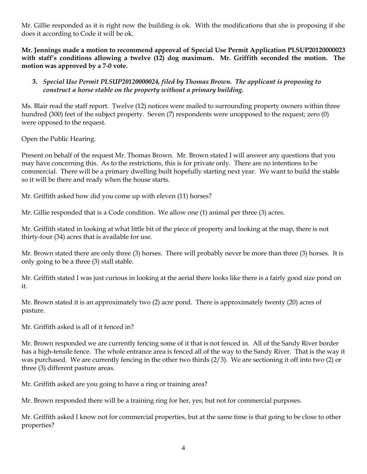Mr. Gillie responded as it is right now the building is ok. With the modifications that she is proposing if she does it according to Code it will be ok.

**Mr. Jennings made a motion to recommend approval of Special Use Permit Application PLSUP20120000023 with staff's conditions allowing a twelve (12) dog maximum. Mr. Griffith seconded the motion. The motion was approved by a 7-0 vote.** 

# **3.** *Special Use Permit PLSUP20120000024, filed by Thomas Brown. The applicant is proposing to construct a horse stable on the property without a primary building.*

Ms. Blair read the staff report. Twelve (12) notices were mailed to surrounding property owners within three hundred (300) feet of the subject property. Seven (7) respondents were unopposed to the request; zero (0) were opposed to the request.

Open the Public Hearing.

Present on behalf of the request Mr. Thomas Brown. Mr. Brown stated I will answer any questions that you may have concerning this. As to the restrictions, this is for private only. There are no intentions to be commercial. There will be a primary dwelling built hopefully starting next year. We want to build the stable so it will be there and ready when the house starts.

Mr. Griffith asked how did you come up with eleven (11) horses?

Mr. Gillie responded that is a Code condition. We allow one (1) animal per three (3) acres.

Mr. Griffith stated in looking at what little bit of the piece of property and looking at the map, there is not thirty-four (34) acres that is available for use.

Mr. Brown stated there are only three (3) horses. There will probably never be more than three (3) horses. It is only going to be a three (3) stall stable.

Mr. Griffith stated I was just curious in looking at the aerial there looks like there is a fairly good size pond on it.

Mr. Brown stated it is an approximately two (2) acre pond. There is approximately twenty (20) acres of pasture.

Mr. Griffith asked is all of it fenced in?

Mr. Brown responded we are currently fencing some of it that is not fenced in. All of the Sandy River border has a high-tensile fence. The whole entrance area is fenced all of the way to the Sandy River. That is the way it was purchased. We are currently fencing in the other two thirds (2/3). We are sectioning it off into two (2) or three (3) different pasture areas.

Mr. Griffith asked are you going to have a ring or training area?

Mr. Brown responded there will be a training ring for her, yes; but not for commercial purposes.

Mr. Griffith asked I know not for commercial properties, but at the same time is that going to be close to other properties?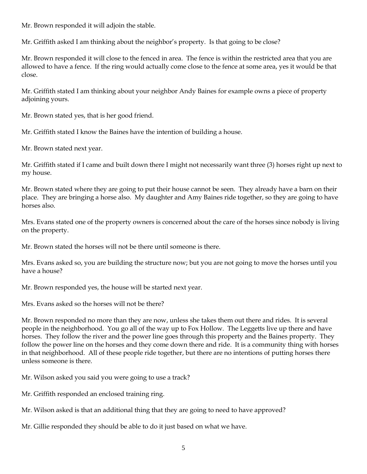Mr. Brown responded it will adjoin the stable.

Mr. Griffith asked I am thinking about the neighbor's property. Is that going to be close?

Mr. Brown responded it will close to the fenced in area. The fence is within the restricted area that you are allowed to have a fence. If the ring would actually come close to the fence at some area, yes it would be that close.

Mr. Griffith stated I am thinking about your neighbor Andy Baines for example owns a piece of property adjoining yours.

Mr. Brown stated yes, that is her good friend.

Mr. Griffith stated I know the Baines have the intention of building a house.

Mr. Brown stated next year.

Mr. Griffith stated if I came and built down there I might not necessarily want three (3) horses right up next to my house.

Mr. Brown stated where they are going to put their house cannot be seen. They already have a barn on their place. They are bringing a horse also. My daughter and Amy Baines ride together, so they are going to have horses also.

Mrs. Evans stated one of the property owners is concerned about the care of the horses since nobody is living on the property.

Mr. Brown stated the horses will not be there until someone is there.

Mrs. Evans asked so, you are building the structure now; but you are not going to move the horses until you have a house?

Mr. Brown responded yes, the house will be started next year.

Mrs. Evans asked so the horses will not be there?

Mr. Brown responded no more than they are now, unless she takes them out there and rides. It is several people in the neighborhood. You go all of the way up to Fox Hollow. The Leggetts live up there and have horses. They follow the river and the power line goes through this property and the Baines property. They follow the power line on the horses and they come down there and ride. It is a community thing with horses in that neighborhood. All of these people ride together, but there are no intentions of putting horses there unless someone is there.

Mr. Wilson asked you said you were going to use a track?

Mr. Griffith responded an enclosed training ring.

Mr. Wilson asked is that an additional thing that they are going to need to have approved?

Mr. Gillie responded they should be able to do it just based on what we have.